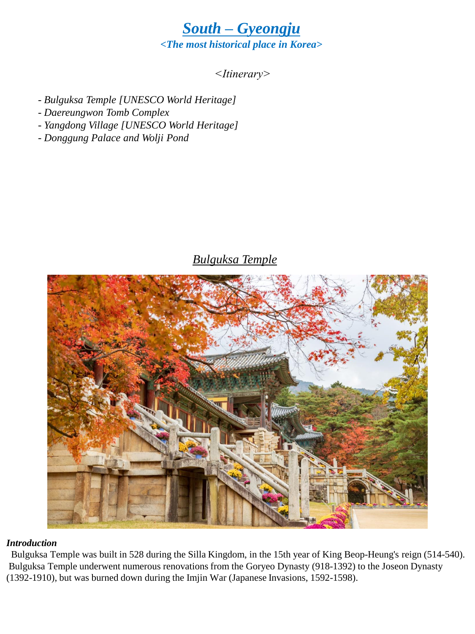

### *<Itinerary>*

- *- Bulguksa Temple [UNESCO World Heritage]*
- *- Daereungwon Tomb Complex*
- *Yangdong Village [UNESCO World Heritage]*
- *- Donggung Palace and Wolji Pond*

# *Bulguksa Temple*



#### *Introduction*

Bulguksa Temple was built in 528 during the Silla Kingdom, in the 15th year of King Beop-Heung's reign (514-540). Bulguksa Temple underwent numerous renovations from the Goryeo Dynasty (918-1392) to the Joseon Dynasty (1392-1910), but was burned down during the Imjin War (Japanese Invasions, 1592-1598).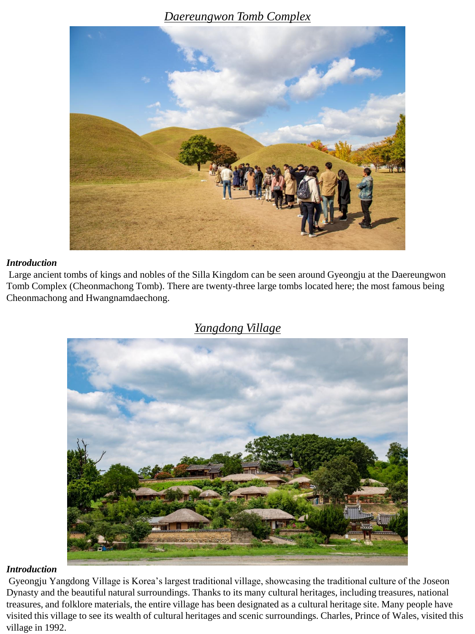### *Daereungwon Tomb Complex*



#### *Introduction*

Large ancient tombs of kings and nobles of the Silla Kingdom can be seen around Gyeongju at the Daereungwon Tomb Complex (Cheonmachong Tomb). There are twenty-three large tombs located here; the most famous being Cheonmachong and Hwangnamdaechong.



### *Yangdong Village*

#### *Introduction*

Gyeongju Yangdong Village is Korea's largest traditional village, showcasing the traditional culture of the Joseon Dynasty and the beautiful natural surroundings. Thanks to its many cultural heritages, including treasures, national treasures, and folklore materials, the entire village has been designated as a cultural heritage site. Many people have visited this village to see its wealth of cultural heritages and scenic surroundings. Charles, Prince of Wales, visited this village in 1992.